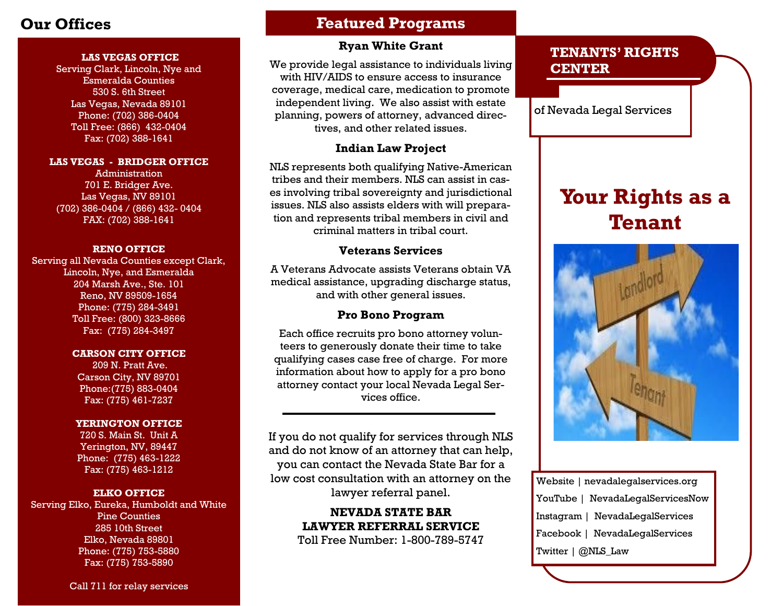#### **LAS VEGAS OFFICE**

Serving Clark, Lincoln, Nye and Esmeralda Counties 530 S. 6th Street Las Vegas, Nevada 89101 Phone: (702) 386-0404 Toll Free: (866) 432-0404 Fax: (702) 388-1641

#### **LAS VEGAS - BRIDGER OFFICE**

Administration 701 E. Bridger Ave. Las Vegas, NV 89101 (702) 386-0404 / (866) 432- 0404 FAX: (702) 388-1641

#### **RENO OFFICE**

Serving all Nevada Counties except Clark, Lincoln, Nye, and Esmeralda 204 Marsh Ave., Ste. 101 Reno, NV 89509-1654 Phone: (775) 284-3491 Toll Free: (800) 323-8666 Fax: (775) 284-3497

#### **CARSON CITY OFFICE**

209 N. Pratt Ave. Carson City, NV 89701 Phone:(775) 883-0404 Fax: (775) 461-7237

#### **YERINGTON OFFICE**

720 S. Main St. Unit A Yerington, NV, 89447 Phone: (775) 463-1222 Fax: (775) 463-1212

#### **ELKO OFFICE**

Serving Elko, Eureka, Humboldt and White Pine Counties 285 10th Street Elko, Nevada 89801 Phone: (775) 753-5880 Fax: (775) 753-5890

## **Our Offices Featured Programs**

#### **Ryan White Grant**

We provide legal assistance to individuals living with HIV/AIDS to ensure access to insurance coverage, medical care, medication to promote independent living. We also assist with estate planning, powers of attorney, advanced directives, and other related issues.

### **Indian Law Project**

NLS represents both qualifying Native-American tribes and their members. NLS can assist in cases involving tribal sovereignty and jurisdictional issues. NLS also assists elders with will preparation and represents tribal members in civil and criminal matters in tribal court.

### **Veterans Services**

A Veterans Advocate assists Veterans obtain VA medical assistance, upgrading discharge status, and with other general issues.

### **Pro Bono Program**

Each office recruits pro bono attorney volunteers to generously donate their time to take qualifying cases case free of charge. For more information about how to apply for a pro bono attorney contact your local Nevada Legal Services office.

If you do not qualify for services through NLS and do not know of an attorney that can help, you can contact the Nevada State Bar for a low cost consultation with an attorney on the lawyer referral panel.

> **NEVADA STATE BAR LAWYER REFERRAL SERVICE** Toll Free Number: 1-800-789-5747

## **TENANTS' RIGHTS CENTER**

of Nevada Legal Services

# **Your Rights as a Tenant**



| Website   nevadalegalservices.org |
|-----------------------------------|
| YouTube   NevadaLegalServicesNow  |
| Instagram   NevadaLegalServices   |
| Facebook   NevadaLegalServices    |
| Twitter   @NLS_Law                |